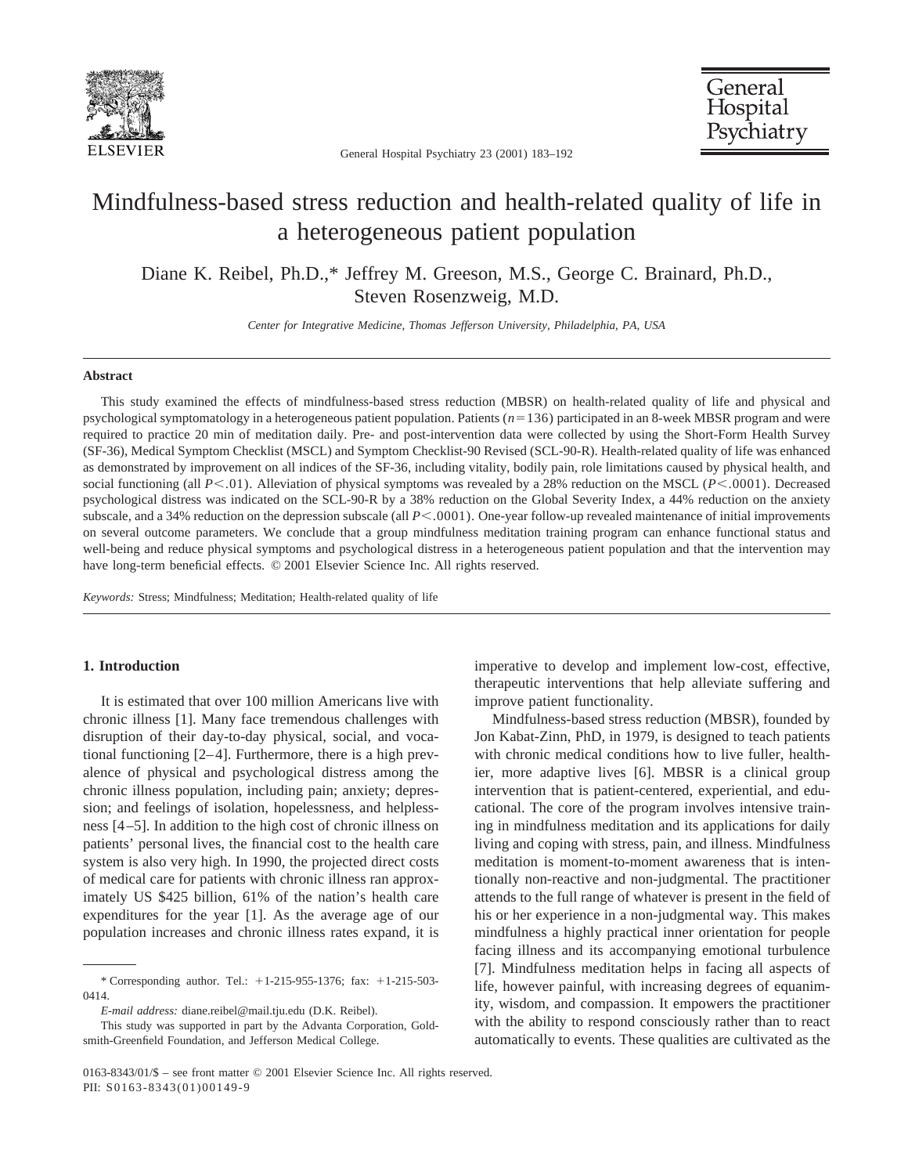

General Hospital Psychiatry 23 (2001) 183–192

General Hospital Psychiatry

# Mindfulness-based stress reduction and health-related quality of life in a heterogeneous patient population

Diane K. Reibel, Ph.D.,\* Jeffrey M. Greeson, M.S., George C. Brainard, Ph.D., Steven Rosenzweig, M.D.

*Center for Integrative Medicine, Thomas Jefferson University, Philadelphia, PA, USA*

## **Abstract**

This study examined the effects of mindfulness-based stress reduction (MBSR) on health-related quality of life and physical and psychological symptomatology in a heterogeneous patient population. Patients ( $n=136$ ) participated in an 8-week MBSR program and were required to practice 20 min of meditation daily. Pre- and post-intervention data were collected by using the Short-Form Health Survey (SF-36), Medical Symptom Checklist (MSCL) and Symptom Checklist-90 Revised (SCL-90-R). Health-related quality of life was enhanced as demonstrated by improvement on all indices of the SF-36, including vitality, bodily pain, role limitations caused by physical health, and social functioning (all  $P<.01$ ). Alleviation of physical symptoms was revealed by a 28% reduction on the MSCL ( $P<.0001$ ). Decreased psychological distress was indicated on the SCL-90-R by a 38% reduction on the Global Severity Index, a 44% reduction on the anxiety subscale, and a 34% reduction on the depression subscale (all  $P<.0001$ ). One-year follow-up revealed maintenance of initial improvements on several outcome parameters. We conclude that a group mindfulness meditation training program can enhance functional status and well-being and reduce physical symptoms and psychological distress in a heterogeneous patient population and that the intervention may have long-term beneficial effects. © 2001 Elsevier Science Inc. All rights reserved.

*Keywords:* Stress; Mindfulness; Meditation; Health-related quality of life

## **1. Introduction**

It is estimated that over 100 million Americans live with chronic illness [1]. Many face tremendous challenges with disruption of their day-to-day physical, social, and vocational functioning [2–4]. Furthermore, there is a high prevalence of physical and psychological distress among the chronic illness population, including pain; anxiety; depression; and feelings of isolation, hopelessness, and helplessness [4–5]. In addition to the high cost of chronic illness on patients' personal lives, the financial cost to the health care system is also very high. In 1990, the projected direct costs of medical care for patients with chronic illness ran approximately US \$425 billion, 61% of the nation's health care expenditures for the year [1]. As the average age of our population increases and chronic illness rates expand, it is imperative to develop and implement low-cost, effective, therapeutic interventions that help alleviate suffering and improve patient functionality.

Mindfulness-based stress reduction (MBSR), founded by Jon Kabat-Zinn, PhD, in 1979, is designed to teach patients with chronic medical conditions how to live fuller, healthier, more adaptive lives [6]. MBSR is a clinical group intervention that is patient-centered, experiential, and educational. The core of the program involves intensive training in mindfulness meditation and its applications for daily living and coping with stress, pain, and illness. Mindfulness meditation is moment-to-moment awareness that is intentionally non-reactive and non-judgmental. The practitioner attends to the full range of whatever is present in the field of his or her experience in a non-judgmental way. This makes mindfulness a highly practical inner orientation for people facing illness and its accompanying emotional turbulence [7]. Mindfulness meditation helps in facing all aspects of life, however painful, with increasing degrees of equanimity, wisdom, and compassion. It empowers the practitioner with the ability to respond consciously rather than to react automatically to events. These qualities are cultivated as the

<sup>\*</sup> Corresponding author. Tel.: 11-215-955-1376; fax: 11-215-503- 0414.

*E-mail address:* diane.reibel@mail.tju.edu (D.K. Reibel).

This study was supported in part by the Advanta Corporation, Goldsmith-Greenfield Foundation, and Jefferson Medical College.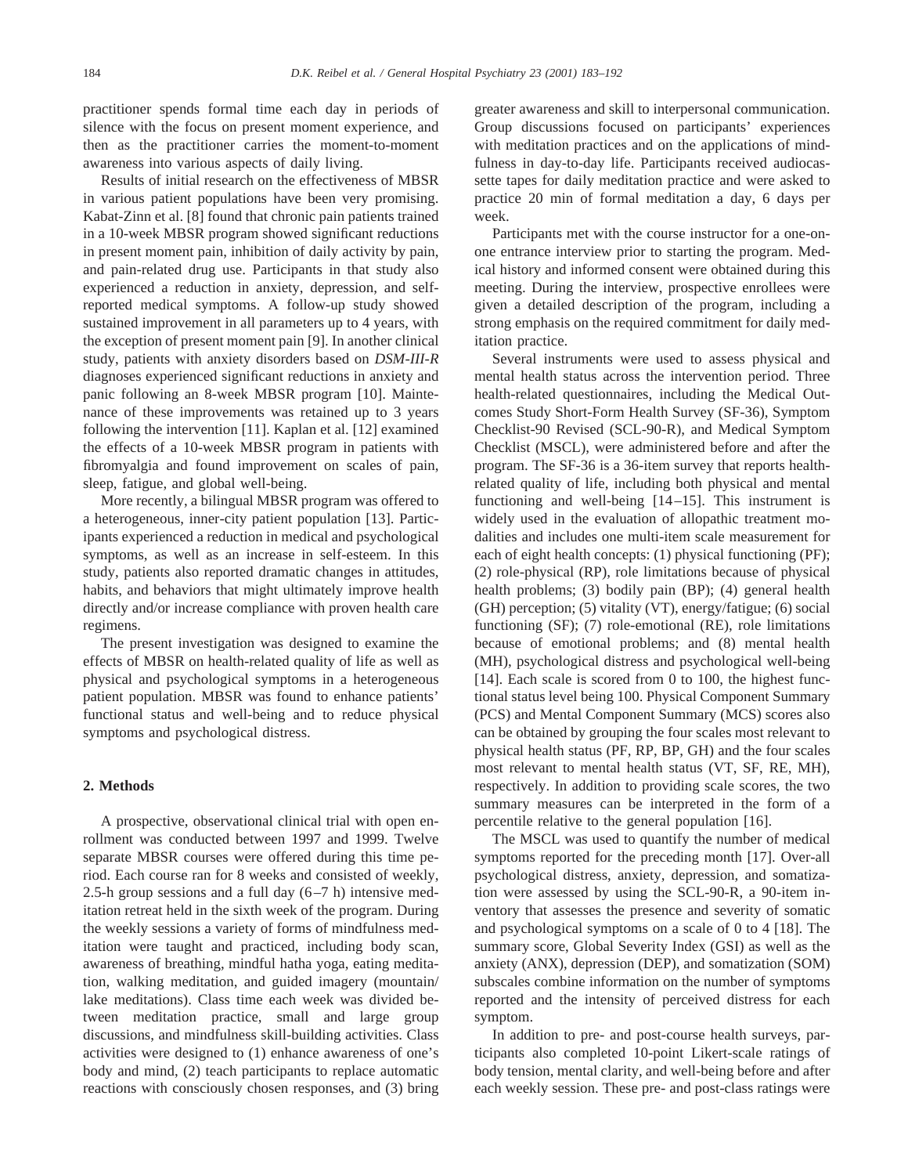practitioner spends formal time each day in periods of silence with the focus on present moment experience, and then as the practitioner carries the moment-to-moment awareness into various aspects of daily living.

Results of initial research on the effectiveness of MBSR in various patient populations have been very promising. Kabat-Zinn et al. [8] found that chronic pain patients trained in a 10-week MBSR program showed significant reductions in present moment pain, inhibition of daily activity by pain, and pain-related drug use. Participants in that study also experienced a reduction in anxiety, depression, and selfreported medical symptoms. A follow-up study showed sustained improvement in all parameters up to 4 years, with the exception of present moment pain [9]. In another clinical study, patients with anxiety disorders based on *DSM-III-R* diagnoses experienced significant reductions in anxiety and panic following an 8-week MBSR program [10]. Maintenance of these improvements was retained up to 3 years following the intervention [11]. Kaplan et al. [12] examined the effects of a 10-week MBSR program in patients with fibromyalgia and found improvement on scales of pain, sleep, fatigue, and global well-being.

More recently, a bilingual MBSR program was offered to a heterogeneous, inner-city patient population [13]. Participants experienced a reduction in medical and psychological symptoms, as well as an increase in self-esteem. In this study, patients also reported dramatic changes in attitudes, habits, and behaviors that might ultimately improve health directly and/or increase compliance with proven health care regimens.

The present investigation was designed to examine the effects of MBSR on health-related quality of life as well as physical and psychological symptoms in a heterogeneous patient population. MBSR was found to enhance patients' functional status and well-being and to reduce physical symptoms and psychological distress.

## **2. Methods**

A prospective, observational clinical trial with open enrollment was conducted between 1997 and 1999. Twelve separate MBSR courses were offered during this time period. Each course ran for 8 weeks and consisted of weekly, 2.5-h group sessions and a full day  $(6-7 h)$  intensive meditation retreat held in the sixth week of the program. During the weekly sessions a variety of forms of mindfulness meditation were taught and practiced, including body scan, awareness of breathing, mindful hatha yoga, eating meditation, walking meditation, and guided imagery (mountain/ lake meditations). Class time each week was divided between meditation practice, small and large group discussions, and mindfulness skill-building activities. Class activities were designed to (1) enhance awareness of one's body and mind, (2) teach participants to replace automatic reactions with consciously chosen responses, and (3) bring greater awareness and skill to interpersonal communication. Group discussions focused on participants' experiences with meditation practices and on the applications of mindfulness in day-to-day life. Participants received audiocassette tapes for daily meditation practice and were asked to practice 20 min of formal meditation a day, 6 days per week.

Participants met with the course instructor for a one-onone entrance interview prior to starting the program. Medical history and informed consent were obtained during this meeting. During the interview, prospective enrollees were given a detailed description of the program, including a strong emphasis on the required commitment for daily meditation practice.

Several instruments were used to assess physical and mental health status across the intervention period. Three health-related questionnaires, including the Medical Outcomes Study Short-Form Health Survey (SF-36), Symptom Checklist-90 Revised (SCL-90-R), and Medical Symptom Checklist (MSCL), were administered before and after the program. The SF-36 is a 36-item survey that reports healthrelated quality of life, including both physical and mental functioning and well-being [14–15]. This instrument is widely used in the evaluation of allopathic treatment modalities and includes one multi-item scale measurement for each of eight health concepts: (1) physical functioning (PF); (2) role-physical (RP), role limitations because of physical health problems; (3) bodily pain (BP); (4) general health (GH) perception; (5) vitality (VT), energy/fatigue; (6) social functioning (SF); (7) role-emotional (RE), role limitations because of emotional problems; and (8) mental health (MH), psychological distress and psychological well-being [14]. Each scale is scored from 0 to 100, the highest functional status level being 100. Physical Component Summary (PCS) and Mental Component Summary (MCS) scores also can be obtained by grouping the four scales most relevant to physical health status (PF, RP, BP, GH) and the four scales most relevant to mental health status (VT, SF, RE, MH), respectively. In addition to providing scale scores, the two summary measures can be interpreted in the form of a percentile relative to the general population [16].

The MSCL was used to quantify the number of medical symptoms reported for the preceding month [17]. Over-all psychological distress, anxiety, depression, and somatization were assessed by using the SCL-90-R, a 90-item inventory that assesses the presence and severity of somatic and psychological symptoms on a scale of 0 to 4 [18]. The summary score, Global Severity Index (GSI) as well as the anxiety (ANX), depression (DEP), and somatization (SOM) subscales combine information on the number of symptoms reported and the intensity of perceived distress for each symptom.

In addition to pre- and post-course health surveys, participants also completed 10-point Likert-scale ratings of body tension, mental clarity, and well-being before and after each weekly session. These pre- and post-class ratings were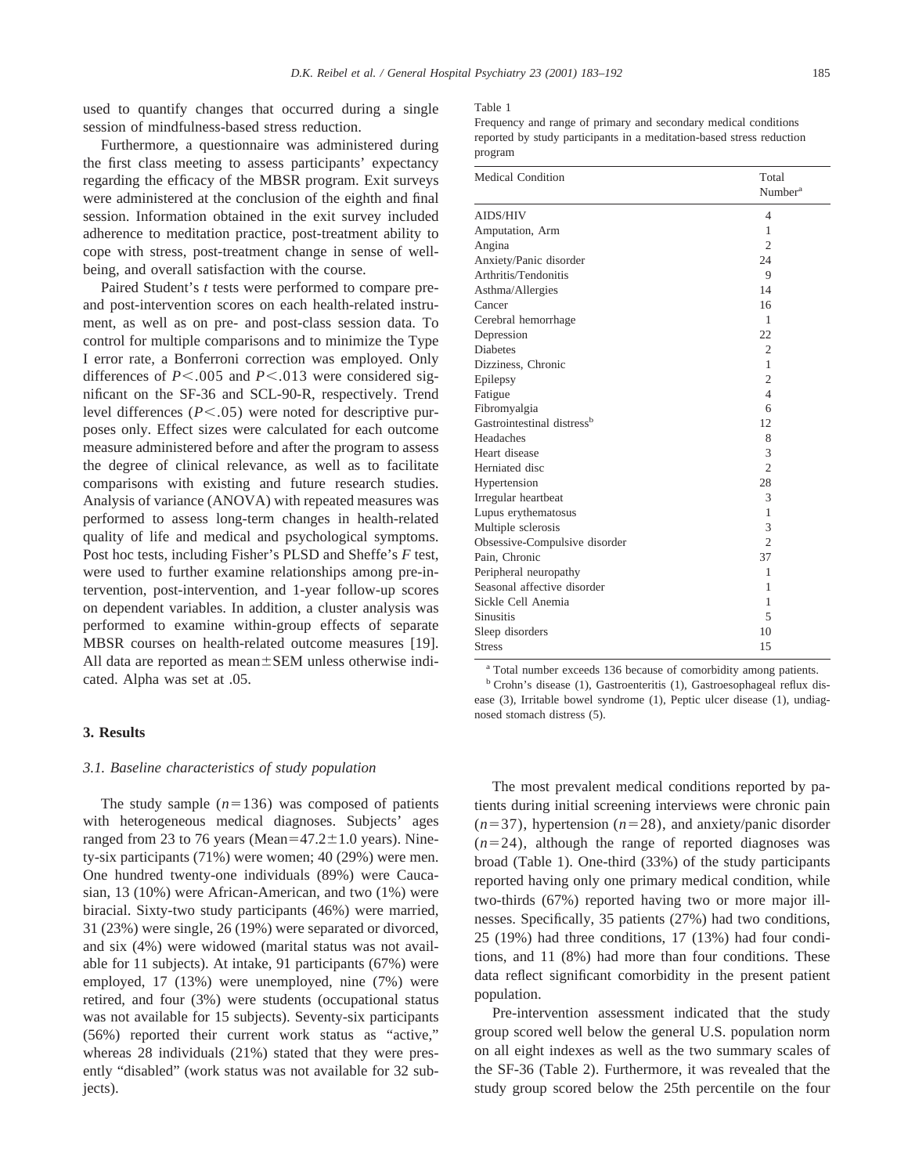used to quantify changes that occurred during a single session of mindfulness-based stress reduction.

Furthermore, a questionnaire was administered during the first class meeting to assess participants' expectancy regarding the efficacy of the MBSR program. Exit surveys were administered at the conclusion of the eighth and final session. Information obtained in the exit survey included adherence to meditation practice, post-treatment ability to cope with stress, post-treatment change in sense of wellbeing, and overall satisfaction with the course.

Paired Student's *t* tests were performed to compare preand post-intervention scores on each health-related instrument, as well as on pre- and post-class session data. To control for multiple comparisons and to minimize the Type I error rate, a Bonferroni correction was employed. Only differences of  $P < .005$  and  $P < .013$  were considered significant on the SF-36 and SCL-90-R, respectively. Trend level differences  $(P<.05)$  were noted for descriptive purposes only. Effect sizes were calculated for each outcome measure administered before and after the program to assess the degree of clinical relevance, as well as to facilitate comparisons with existing and future research studies. Analysis of variance (ANOVA) with repeated measures was performed to assess long-term changes in health-related quality of life and medical and psychological symptoms. Post hoc tests, including Fisher's PLSD and Sheffe's *F* test, were used to further examine relationships among pre-intervention, post-intervention, and 1-year follow-up scores on dependent variables. In addition, a cluster analysis was performed to examine within-group effects of separate MBSR courses on health-related outcome measures [19]. All data are reported as mean $\pm$ SEM unless otherwise indicated. Alpha was set at .05.

# **3. Results**

## *3.1. Baseline characteristics of study population*

The study sample  $(n=136)$  was composed of patients with heterogeneous medical diagnoses. Subjects' ages ranged from 23 to 76 years (Mean= $47.2 \pm 1.0$  years). Ninety-six participants (71%) were women; 40 (29%) were men. One hundred twenty-one individuals (89%) were Caucasian, 13 (10%) were African-American, and two (1%) were biracial. Sixty-two study participants (46%) were married, 31 (23%) were single, 26 (19%) were separated or divorced, and six (4%) were widowed (marital status was not available for 11 subjects). At intake, 91 participants (67%) were employed, 17 (13%) were unemployed, nine (7%) were retired, and four (3%) were students (occupational status was not available for 15 subjects). Seventy-six participants (56%) reported their current work status as "active," whereas 28 individuals (21%) stated that they were presently "disabled" (work status was not available for 32 subjects).

#### Table 1

Frequency and range of primary and secondary medical conditions reported by study participants in a meditation-based stress reduction program

| <b>Medical Condition</b>               | Total<br>Number <sup>a</sup> |
|----------------------------------------|------------------------------|
| <b>AIDS/HIV</b>                        | 4                            |
| Amputation, Arm                        | 1                            |
| Angina                                 | $\overline{c}$               |
| Anxiety/Panic disorder                 | 24                           |
| Arthritis/Tendonitis                   | 9                            |
| Asthma/Allergies                       | 14                           |
| Cancer                                 | 16                           |
| Cerebral hemorrhage                    | 1                            |
| Depression                             | 22                           |
| <b>Diabetes</b>                        | $\overline{2}$               |
| Dizziness, Chronic                     | 1                            |
| Epilepsy                               | $\overline{2}$               |
| Fatigue                                | $\overline{4}$               |
| Fibromyalgia                           | 6                            |
| Gastrointestinal distress <sup>b</sup> | 12.                          |
| Headaches                              | 8                            |
| Heart disease                          | 3                            |
| Herniated disc                         | $\overline{c}$               |
| Hypertension                           | 28                           |
| Irregular heartbeat                    | 3                            |
| Lupus erythematosus                    | 1                            |
| Multiple sclerosis                     | 3                            |
| Obsessive-Compulsive disorder          | $\mathfrak{D}$               |
| Pain, Chronic                          | 37                           |
| Peripheral neuropathy                  | 1                            |
| Seasonal affective disorder            | 1                            |
| Sickle Cell Anemia                     | 1                            |
| <b>Sinusitis</b>                       | 5                            |
| Sleep disorders                        | 10                           |
| <b>Stress</b>                          | 15                           |

<sup>a</sup> Total number exceeds 136 because of comorbidity among patients.

<sup>b</sup> Crohn's disease (1), Gastroenteritis (1), Gastroesophageal reflux disease (3), Irritable bowel syndrome (1), Peptic ulcer disease (1), undiagnosed stomach distress (5).

The most prevalent medical conditions reported by patients during initial screening interviews were chronic pain  $(n=37)$ , hypertension  $(n=28)$ , and anxiety/panic disorder  $(n=24)$ , although the range of reported diagnoses was broad (Table 1). One-third (33%) of the study participants reported having only one primary medical condition, while two-thirds (67%) reported having two or more major illnesses. Specifically, 35 patients (27%) had two conditions, 25 (19%) had three conditions, 17 (13%) had four conditions, and 11 (8%) had more than four conditions. These data reflect significant comorbidity in the present patient population.

Pre-intervention assessment indicated that the study group scored well below the general U.S. population norm on all eight indexes as well as the two summary scales of the SF-36 (Table 2). Furthermore, it was revealed that the study group scored below the 25th percentile on the four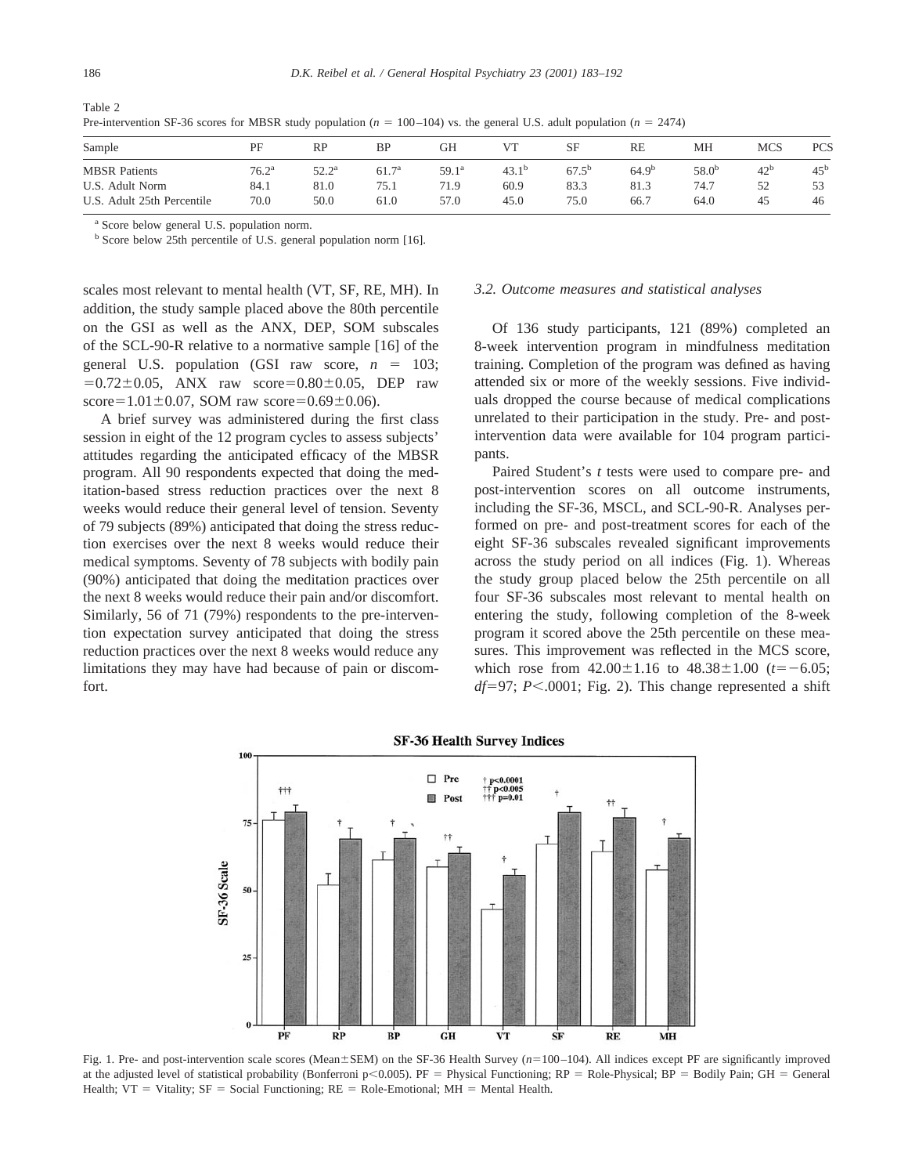Table 2

| Sample                        | PF             | RP             | BP                | GН             |                   | SF             | RE                | MH         | MCS             | PCS             |
|-------------------------------|----------------|----------------|-------------------|----------------|-------------------|----------------|-------------------|------------|-----------------|-----------------|
| <b>MBSR</b> Patients          | $76.2^{\rm a}$ | $52.2^{\rm a}$ | 61.7 <sup>a</sup> | $59.1^{\rm a}$ | 43.1 <sup>b</sup> | $67.5^{\rm b}$ | 64.9 <sup>b</sup> | $58.0^{b}$ | 42 <sup>b</sup> | 45 <sup>b</sup> |
| U.S. Adult Norm               | 84.1           | 81.0           | 75.1              | 71.9           | 60.9              | 83.3           | 81.3              | 74.7       | 52              |                 |
| Adult 25th Percentile<br>U.S. | 70.0           | 50.0           | 61.0              | 57.0           | 45.0              | 75.0           | 66.7              | 64.0       | 45              | 46              |

Pre-intervention SF-36 scores for MBSR study population  $(n = 100-104)$  vs. the general U.S. adult population  $(n = 2474)$ 

<sup>a</sup> Score below general U.S. population norm.

<sup>b</sup> Score below 25th percentile of U.S. general population norm [16].

scales most relevant to mental health (VT, SF, RE, MH). In addition, the study sample placed above the 80th percentile on the GSI as well as the ANX, DEP, SOM subscales of the SCL-90-R relative to a normative sample [16] of the general U.S. population (GSI raw score,  $n = 103$ ;  $=0.72\pm0.05$ , ANX raw score=0.80 $\pm$ 0.05, DEP raw score= $1.01 \pm 0.07$ , SOM raw score= $0.69 \pm 0.06$ ).

A brief survey was administered during the first class session in eight of the 12 program cycles to assess subjects' attitudes regarding the anticipated efficacy of the MBSR program. All 90 respondents expected that doing the meditation-based stress reduction practices over the next 8 weeks would reduce their general level of tension. Seventy of 79 subjects (89%) anticipated that doing the stress reduction exercises over the next 8 weeks would reduce their medical symptoms. Seventy of 78 subjects with bodily pain (90%) anticipated that doing the meditation practices over the next 8 weeks would reduce their pain and/or discomfort. Similarly, 56 of 71 (79%) respondents to the pre-intervention expectation survey anticipated that doing the stress reduction practices over the next 8 weeks would reduce any limitations they may have had because of pain or discomfort.

## *3.2. Outcome measures and statistical analyses*

Of 136 study participants, 121 (89%) completed an 8-week intervention program in mindfulness meditation training. Completion of the program was defined as having attended six or more of the weekly sessions. Five individuals dropped the course because of medical complications unrelated to their participation in the study. Pre- and postintervention data were available for 104 program participants.

Paired Student's *t* tests were used to compare pre- and post-intervention scores on all outcome instruments, including the SF-36, MSCL, and SCL-90-R. Analyses performed on pre- and post-treatment scores for each of the eight SF-36 subscales revealed significant improvements across the study period on all indices (Fig. 1). Whereas the study group placed below the 25th percentile on all four SF-36 subscales most relevant to mental health on entering the study, following completion of the 8-week program it scored above the 25th percentile on these measures. This improvement was reflected in the MCS score, which rose from  $42.00 \pm 1.16$  to  $48.38 \pm 1.00$  ( $t=-6.05$ ;  $df=97$ ; *P*<.0001; Fig. 2). This change represented a shift



**SF-36 Health Survey Indices** 

Fig. 1. Pre- and post-intervention scale scores (Mean±SEM) on the SF-36 Health Survey ( $n=100-104$ ). All indices except PF are significantly improved at the adjusted level of statistical probability (Bonferroni p<0.005). PF = Physical Functioning; RP = Role-Physical; BP = Bodily Pain; GH = General Health;  $VT = Vitality$ ;  $SF = Social Functioning$ ;  $RE = Role-Emotional$ ;  $MH = Mental Health$ .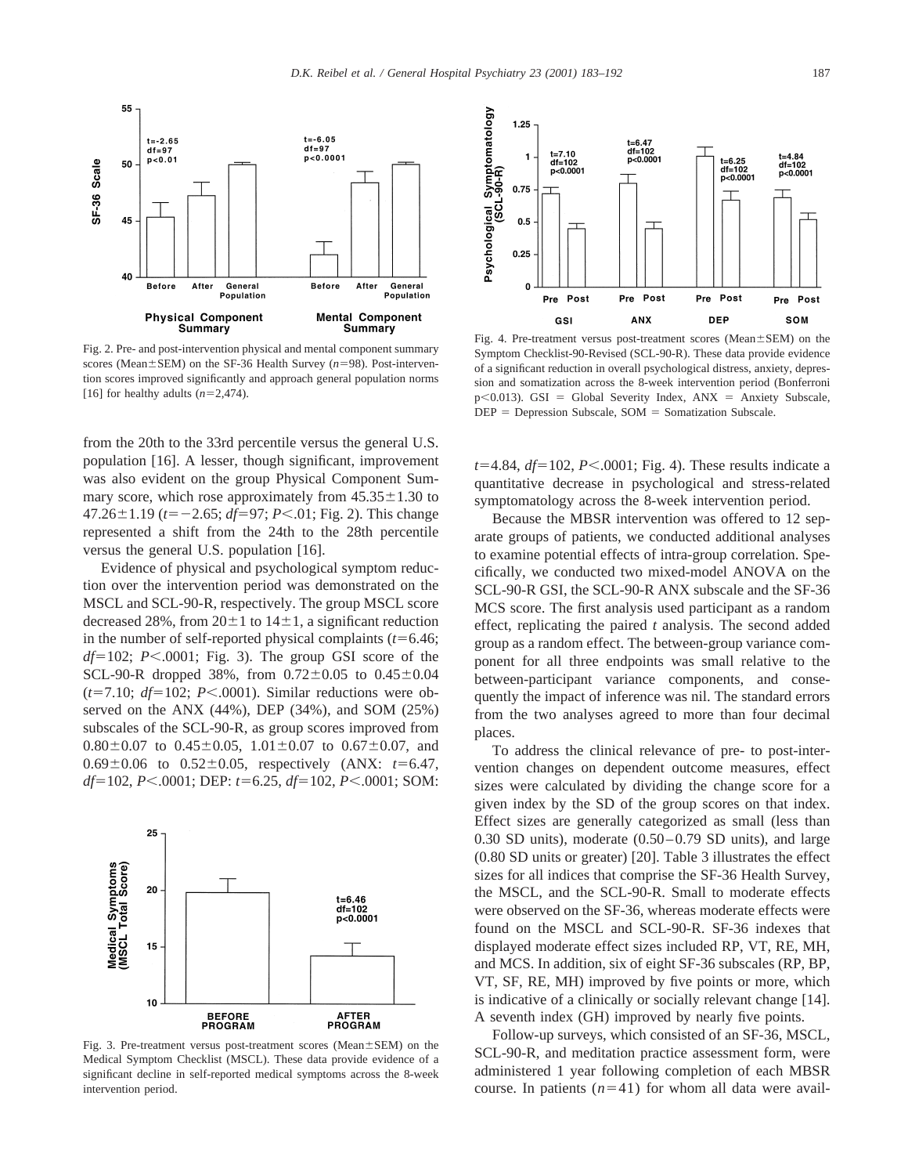

Fig. 2. Pre- and post-intervention physical and mental component summary scores (Mean $\pm$ SEM) on the SF-36 Health Survey ( $n=98$ ). Post-intervention scores improved significantly and approach general population norms [16] for healthy adults  $(n=2,474)$ .

from the 20th to the 33rd percentile versus the general U.S. population [16]. A lesser, though significant, improvement was also evident on the group Physical Component Summary score, which rose approximately from  $45.35 \pm 1.30$  to  $47.26 \pm 1.19$  ( $t=-2.65$ ;  $df=97$ ;  $P<.01$ ; Fig. 2). This change represented a shift from the 24th to the 28th percentile versus the general U.S. population [16].

Evidence of physical and psychological symptom reduction over the intervention period was demonstrated on the MSCL and SCL-90-R, respectively. The group MSCL score decreased 28%, from  $20\pm1$  to  $14\pm1$ , a significant reduction in the number of self-reported physical complaints  $(t=6.46;$  $df=102$ ; *P*<.0001; Fig. 3). The group GSI score of the SCL-90-R dropped 38%, from  $0.72 \pm 0.05$  to  $0.45 \pm 0.04$  $(t=7.10; df=102; P<.0001)$ . Similar reductions were observed on the ANX (44%), DEP (34%), and SOM (25%) subscales of the SCL-90-R, as group scores improved from  $0.80\pm0.07$  to  $0.45\pm0.05$ ,  $1.01\pm0.07$  to  $0.67\pm0.07$ , and  $0.69 \pm 0.06$  to  $0.52 \pm 0.05$ , respectively (ANX:  $t=6.47$ , *df*=102, *P*<.0001; DEP: *t*=6.25, *df*=102, *P*<.0001; SOM:



Fig. 3. Pre-treatment versus post-treatment scores (Mean $\pm$ SEM) on the Medical Symptom Checklist (MSCL). These data provide evidence of a significant decline in self-reported medical symptoms across the 8-week intervention period.



Fig. 4. Pre-treatment versus post-treatment scores (Mean $\pm$ SEM) on the Symptom Checklist-90-Revised (SCL-90-R). These data provide evidence of a significant reduction in overall psychological distress, anxiety, depression and somatization across the 8-week intervention period (Bonferroni  $p$ <0.013). GSI = Global Severity Index, ANX = Anxiety Subscale,  $DEF = *Depression Subscale*,  $SOM = *Somatization Subscale*$ .$ 

 $t=4.84$ ,  $df=102$ ,  $P<.0001$ ; Fig. 4). These results indicate a quantitative decrease in psychological and stress-related symptomatology across the 8-week intervention period.

Because the MBSR intervention was offered to 12 separate groups of patients, we conducted additional analyses to examine potential effects of intra-group correlation. Specifically, we conducted two mixed-model ANOVA on the SCL-90-R GSI, the SCL-90-R ANX subscale and the SF-36 MCS score. The first analysis used participant as a random effect, replicating the paired *t* analysis. The second added group as a random effect. The between-group variance component for all three endpoints was small relative to the between-participant variance components, and consequently the impact of inference was nil. The standard errors from the two analyses agreed to more than four decimal places.

To address the clinical relevance of pre- to post-intervention changes on dependent outcome measures, effect sizes were calculated by dividing the change score for a given index by the SD of the group scores on that index. Effect sizes are generally categorized as small (less than 0.30 SD units), moderate (0.50–0.79 SD units), and large (0.80 SD units or greater) [20]. Table 3 illustrates the effect sizes for all indices that comprise the SF-36 Health Survey, the MSCL, and the SCL-90-R. Small to moderate effects were observed on the SF-36, whereas moderate effects were found on the MSCL and SCL-90-R. SF-36 indexes that displayed moderate effect sizes included RP, VT, RE, MH, and MCS. In addition, six of eight SF-36 subscales (RP, BP, VT, SF, RE, MH) improved by five points or more, which is indicative of a clinically or socially relevant change [14]. A seventh index (GH) improved by nearly five points.

Follow-up surveys, which consisted of an SF-36, MSCL, SCL-90-R, and meditation practice assessment form, were administered 1 year following completion of each MBSR course. In patients  $(n=41)$  for whom all data were avail-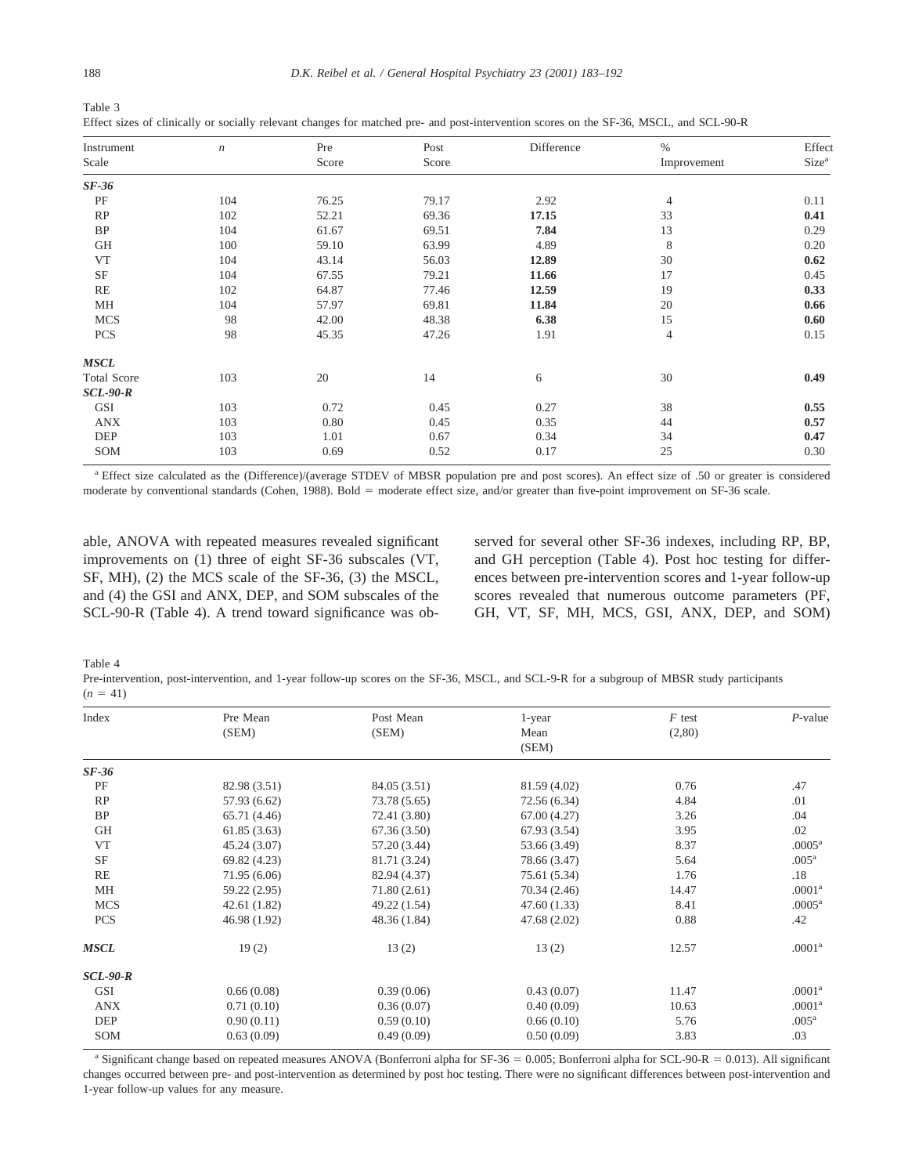| Table 3                                                                                                                                |  |  |
|----------------------------------------------------------------------------------------------------------------------------------------|--|--|
| Effect sizes of clinically or socially relevant changes for matched pre- and post-intervention scores on the SF-36, MSCL, and SCL-90-R |  |  |

| Instrument         | $\boldsymbol{n}$ | Pre   | Post  | Difference | $\%$           | Effect            |
|--------------------|------------------|-------|-------|------------|----------------|-------------------|
| Scale              |                  | Score | Score |            | Improvement    | Size <sup>a</sup> |
| $SF-36$            |                  |       |       |            |                |                   |
| PF                 | 104              | 76.25 | 79.17 | 2.92       | $\overline{4}$ | 0.11              |
| RP                 | 102              | 52.21 | 69.36 | 17.15      | 33             | 0.41              |
| BP                 | 104              | 61.67 | 69.51 | 7.84       | 13             | 0.29              |
| GH                 | 100              | 59.10 | 63.99 | 4.89       | 8              | 0.20              |
| VT                 | 104              | 43.14 | 56.03 | 12.89      | 30             | 0.62              |
| SF                 | 104              | 67.55 | 79.21 | 11.66      | 17             | 0.45              |
| RE                 | 102              | 64.87 | 77.46 | 12.59      | 19             | 0.33              |
| MH                 | 104              | 57.97 | 69.81 | 11.84      | 20             | 0.66              |
| <b>MCS</b>         | 98               | 42.00 | 48.38 | 6.38       | 15             | 0.60              |
| <b>PCS</b>         | 98               | 45.35 | 47.26 | 1.91       | 4              | 0.15              |
| <b>MSCL</b>        |                  |       |       |            |                |                   |
| <b>Total Score</b> | 103              | 20    | 14    | 6          | 30             | 0.49              |
| <b>SCL-90-R</b>    |                  |       |       |            |                |                   |
| <b>GSI</b>         | 103              | 0.72  | 0.45  | 0.27       | 38             | 0.55              |
| <b>ANX</b>         | 103              | 0.80  | 0.45  | 0.35       | 44             | 0.57              |
| DEP                | 103              | 1.01  | 0.67  | 0.34       | 34             | 0.47              |
| SOM                | 103              | 0.69  | 0.52  | 0.17       | 25             | 0.30              |

<sup>a</sup> Effect size calculated as the (Difference)/(average STDEV of MBSR population pre and post scores). An effect size of .50 or greater is considered moderate by conventional standards (Cohen, 1988). Bold = moderate effect size, and/or greater than five-point improvement on SF-36 scale.

able, ANOVA with repeated measures revealed significant improvements on (1) three of eight SF-36 subscales (VT, SF, MH), (2) the MCS scale of the SF-36, (3) the MSCL, and (4) the GSI and ANX, DEP, and SOM subscales of the SCL-90-R (Table 4). A trend toward significance was observed for several other SF-36 indexes, including RP, BP, and GH perception (Table 4). Post hoc testing for differences between pre-intervention scores and 1-year follow-up scores revealed that numerous outcome parameters (PF, GH, VT, SF, MH, MCS, GSI, ANX, DEP, and SOM)

Table 4

Pre-intervention, post-intervention, and 1-year follow-up scores on the SF-36, MSCL, and SCL-9-R for a subgroup of MBSR study participants  $(n = 41)$ 

| Index       | Pre Mean     | Post Mean    | 1-year       | $F$ test | $P$ -value         |
|-------------|--------------|--------------|--------------|----------|--------------------|
|             | (SEM)        | (SEM)        | Mean         | (2,80)   |                    |
|             |              |              | (SEM)        |          |                    |
| $SF-36$     |              |              |              |          |                    |
| PF          | 82.98 (3.51) | 84.05 (3.51) | 81.59 (4.02) | 0.76     | .47                |
| RP          | 57.93 (6.62) | 73.78 (5.65) | 72.56 (6.34) | 4.84     | .01                |
| BP          | 65.71 (4.46) | 72.41 (3.80) | 67.00(4.27)  | 3.26     | .04                |
| GH          | 61.85(3.63)  | 67.36(3.50)  | 67.93 (3.54) | 3.95     | .02                |
| <b>VT</b>   | 45.24 (3.07) | 57.20 (3.44) | 53.66 (3.49) | 8.37     | .0005 <sup>a</sup> |
| SF          | 69.82 (4.23) | 81.71 (3.24) | 78.66 (3.47) | 5.64     | .005 <sup>a</sup>  |
| RE          | 71.95 (6.06) | 82.94 (4.37) | 75.61 (5.34) | 1.76     | .18                |
| МH          | 59.22 (2.95) | 71.80 (2.61) | 70.34 (2.46) | 14.47    | .0001 <sup>a</sup> |
| <b>MCS</b>  | 42.61(1.82)  | 49.22 (1.54) | 47.60 (1.33) | 8.41     | $.0005^{\rm a}$    |
| <b>PCS</b>  | 46.98 (1.92) | 48.36 (1.84) | 47.68 (2.02) | 0.88     | .42                |
| <b>MSCL</b> | 19(2)        | 13(2)        | 13(2)        | 12.57    | .0001 <sup>a</sup> |
| $SCL-90-R$  |              |              |              |          |                    |
| <b>GSI</b>  | 0.66(0.08)   | 0.39(0.06)   | 0.43(0.07)   | 11.47    | .0001 <sup>a</sup> |
| <b>ANX</b>  | 0.71(0.10)   | 0.36(0.07)   | 0.40(0.09)   | 10.63    | .0001 <sup>a</sup> |
| DEP         | 0.90(0.11)   | 0.59(0.10)   | 0.66(0.10)   | 5.76     | .005 <sup>a</sup>  |
| SOM         | 0.63(0.09)   | 0.49(0.09)   | 0.50(0.09)   | 3.83     | .03                |
|             |              |              |              |          |                    |

<sup>a</sup> Significant change based on repeated measures ANOVA (Bonferroni alpha for SF-36 = 0.005; Bonferroni alpha for SCL-90-R = 0.013). All significant changes occurred between pre- and post-intervention as determined by post hoc testing. There were no significant differences between post-intervention and 1-year follow-up values for any measure.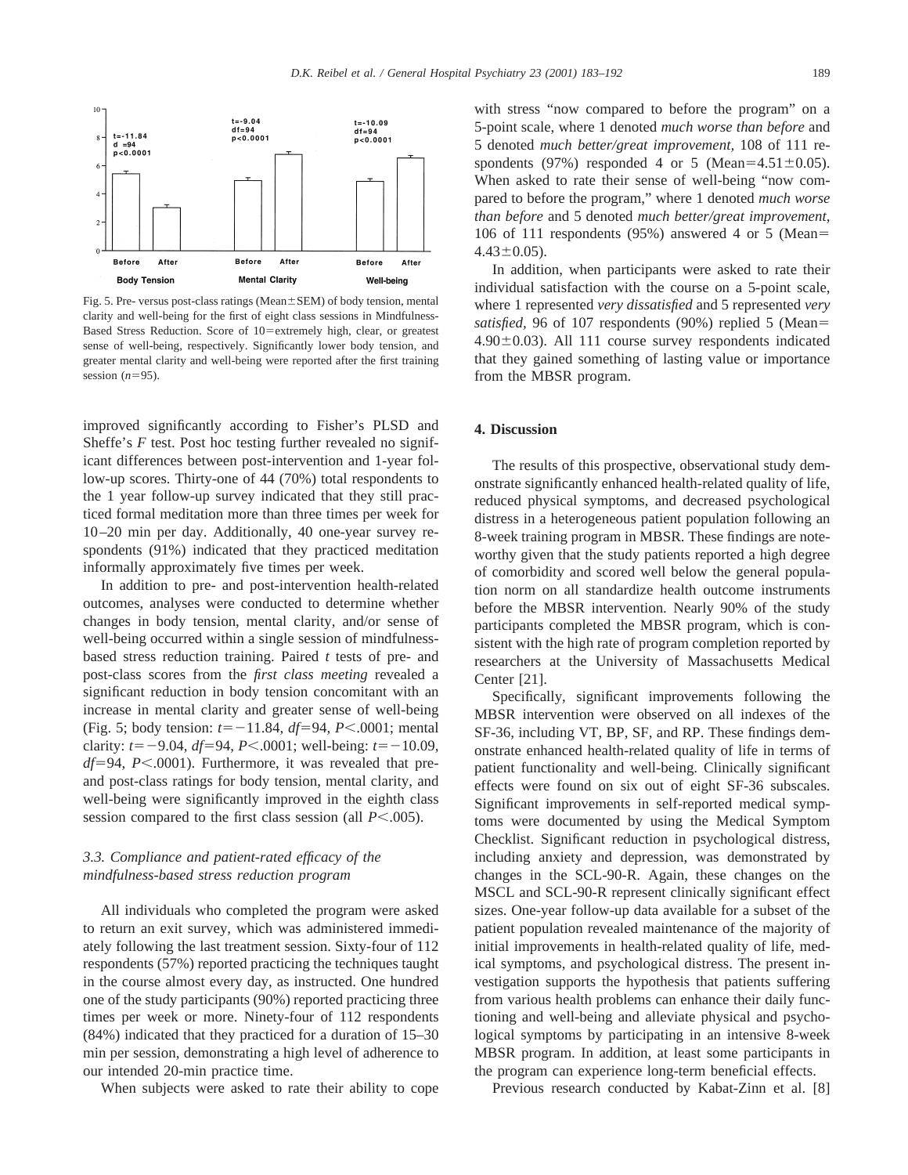

Fig. 5. Pre- versus post-class ratings (Mean $\pm$ SEM) of body tension, mental clarity and well-being for the first of eight class sessions in Mindfulness-Based Stress Reduction. Score of 10=extremely high, clear, or greatest sense of well-being, respectively. Significantly lower body tension, and greater mental clarity and well-being were reported after the first training session  $(n=95)$ .

improved significantly according to Fisher's PLSD and Sheffe's *F* test. Post hoc testing further revealed no significant differences between post-intervention and 1-year follow-up scores. Thirty-one of 44 (70%) total respondents to the 1 year follow-up survey indicated that they still practiced formal meditation more than three times per week for 10–20 min per day. Additionally, 40 one-year survey respondents (91%) indicated that they practiced meditation informally approximately five times per week.

In addition to pre- and post-intervention health-related outcomes, analyses were conducted to determine whether changes in body tension, mental clarity, and/or sense of well-being occurred within a single session of mindfulnessbased stress reduction training. Paired *t* tests of pre- and post-class scores from the *first class meeting* revealed a significant reduction in body tension concomitant with an increase in mental clarity and greater sense of well-being (Fig. 5; body tension:  $t=-11.84$ ,  $df=94$ ,  $P<.0001$ ; mental clarity:  $t=-9.04$ ,  $df=94$ ,  $P<.0001$ ; well-being:  $t=-10.09$ ,  $df=94$ , *P*<.0001). Furthermore, it was revealed that preand post-class ratings for body tension, mental clarity, and well-being were significantly improved in the eighth class session compared to the first class session (all  $P<.005$ ).

# *3.3. Compliance and patient-rated efficacy of the mindfulness-based stress reduction program*

All individuals who completed the program were asked to return an exit survey, which was administered immediately following the last treatment session. Sixty-four of 112 respondents (57%) reported practicing the techniques taught in the course almost every day, as instructed. One hundred one of the study participants (90%) reported practicing three times per week or more. Ninety-four of 112 respondents (84%) indicated that they practiced for a duration of 15–30 min per session, demonstrating a high level of adherence to our intended 20-min practice time.

When subjects were asked to rate their ability to cope

with stress "now compared to before the program" on a 5-point scale, where 1 denoted *much worse than before* and 5 denoted *much better/great improvement,* 108 of 111 respondents (97%) responded 4 or 5 (Mean=4.51 $\pm$ 0.05). When asked to rate their sense of well-being "now compared to before the program," where 1 denoted *much worse than before* and 5 denoted *much better/great improvement,* 106 of 111 respondents  $(95%)$  answered 4 or 5 (Mean=  $4.43\pm0.05$ ).

In addition, when participants were asked to rate their individual satisfaction with the course on a 5-point scale, where 1 represented *very dissatisfied* and 5 represented *very satisfied,* 96 of 107 respondents (90%) replied 5 (Mean= 4.90 $\pm$ 0.03). All 111 course survey respondents indicated that they gained something of lasting value or importance from the MBSR program.

## **4. Discussion**

The results of this prospective, observational study demonstrate significantly enhanced health-related quality of life, reduced physical symptoms, and decreased psychological distress in a heterogeneous patient population following an 8-week training program in MBSR. These findings are noteworthy given that the study patients reported a high degree of comorbidity and scored well below the general population norm on all standardize health outcome instruments before the MBSR intervention. Nearly 90% of the study participants completed the MBSR program, which is consistent with the high rate of program completion reported by researchers at the University of Massachusetts Medical Center [21].

Specifically, significant improvements following the MBSR intervention were observed on all indexes of the SF-36, including VT, BP, SF, and RP. These findings demonstrate enhanced health-related quality of life in terms of patient functionality and well-being. Clinically significant effects were found on six out of eight SF-36 subscales. Significant improvements in self-reported medical symptoms were documented by using the Medical Symptom Checklist. Significant reduction in psychological distress, including anxiety and depression, was demonstrated by changes in the SCL-90-R. Again, these changes on the MSCL and SCL-90-R represent clinically significant effect sizes. One-year follow-up data available for a subset of the patient population revealed maintenance of the majority of initial improvements in health-related quality of life, medical symptoms, and psychological distress. The present investigation supports the hypothesis that patients suffering from various health problems can enhance their daily functioning and well-being and alleviate physical and psychological symptoms by participating in an intensive 8-week MBSR program. In addition, at least some participants in the program can experience long-term beneficial effects.

Previous research conducted by Kabat-Zinn et al. [8]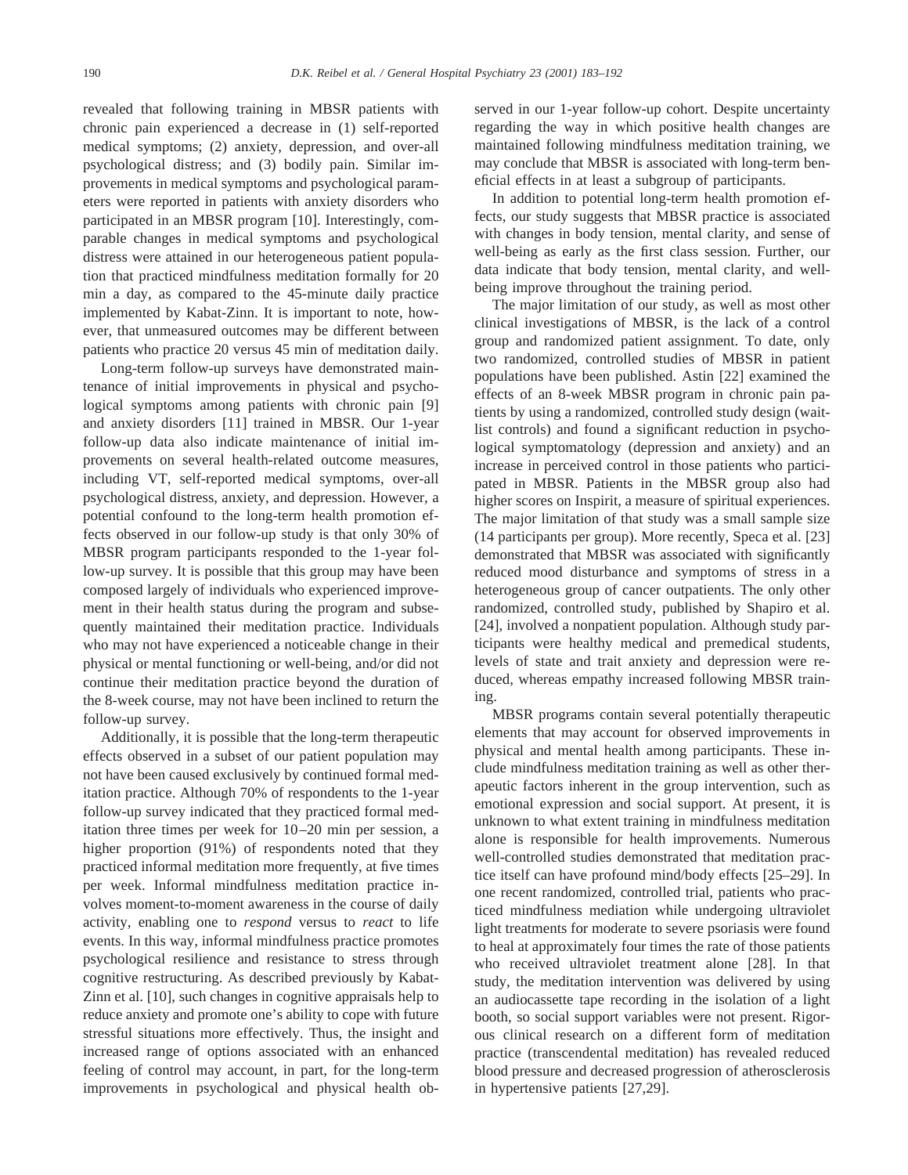revealed that following training in MBSR patients with chronic pain experienced a decrease in (1) self-reported medical symptoms; (2) anxiety, depression, and over-all psychological distress; and (3) bodily pain. Similar improvements in medical symptoms and psychological parameters were reported in patients with anxiety disorders who participated in an MBSR program [10]. Interestingly, comparable changes in medical symptoms and psychological distress were attained in our heterogeneous patient population that practiced mindfulness meditation formally for 20 min a day, as compared to the 45-minute daily practice implemented by Kabat-Zinn. It is important to note, however, that unmeasured outcomes may be different between patients who practice 20 versus 45 min of meditation daily.

Long-term follow-up surveys have demonstrated maintenance of initial improvements in physical and psychological symptoms among patients with chronic pain [9] and anxiety disorders [11] trained in MBSR. Our 1-year follow-up data also indicate maintenance of initial improvements on several health-related outcome measures, including VT, self-reported medical symptoms, over-all psychological distress, anxiety, and depression. However, a potential confound to the long-term health promotion effects observed in our follow-up study is that only 30% of MBSR program participants responded to the 1-year follow-up survey. It is possible that this group may have been composed largely of individuals who experienced improvement in their health status during the program and subsequently maintained their meditation practice. Individuals who may not have experienced a noticeable change in their physical or mental functioning or well-being, and/or did not continue their meditation practice beyond the duration of the 8-week course, may not have been inclined to return the follow-up survey.

Additionally, it is possible that the long-term therapeutic effects observed in a subset of our patient population may not have been caused exclusively by continued formal meditation practice. Although 70% of respondents to the 1-year follow-up survey indicated that they practiced formal meditation three times per week for 10–20 min per session, a higher proportion (91%) of respondents noted that they practiced informal meditation more frequently, at five times per week. Informal mindfulness meditation practice involves moment-to-moment awareness in the course of daily activity, enabling one to *respond* versus to *react* to life events. In this way, informal mindfulness practice promotes psychological resilience and resistance to stress through cognitive restructuring. As described previously by Kabat-Zinn et al. [10], such changes in cognitive appraisals help to reduce anxiety and promote one's ability to cope with future stressful situations more effectively. Thus, the insight and increased range of options associated with an enhanced feeling of control may account, in part, for the long-term improvements in psychological and physical health observed in our 1-year follow-up cohort. Despite uncertainty regarding the way in which positive health changes are maintained following mindfulness meditation training, we may conclude that MBSR is associated with long-term beneficial effects in at least a subgroup of participants.

In addition to potential long-term health promotion effects, our study suggests that MBSR practice is associated with changes in body tension, mental clarity, and sense of well-being as early as the first class session. Further, our data indicate that body tension, mental clarity, and wellbeing improve throughout the training period.

The major limitation of our study, as well as most other clinical investigations of MBSR, is the lack of a control group and randomized patient assignment. To date, only two randomized, controlled studies of MBSR in patient populations have been published. Astin [22] examined the effects of an 8-week MBSR program in chronic pain patients by using a randomized, controlled study design (waitlist controls) and found a significant reduction in psychological symptomatology (depression and anxiety) and an increase in perceived control in those patients who participated in MBSR. Patients in the MBSR group also had higher scores on Inspirit, a measure of spiritual experiences. The major limitation of that study was a small sample size (14 participants per group). More recently, Speca et al. [23] demonstrated that MBSR was associated with significantly reduced mood disturbance and symptoms of stress in a heterogeneous group of cancer outpatients. The only other randomized, controlled study, published by Shapiro et al. [24], involved a nonpatient population. Although study participants were healthy medical and premedical students, levels of state and trait anxiety and depression were reduced, whereas empathy increased following MBSR training.

MBSR programs contain several potentially therapeutic elements that may account for observed improvements in physical and mental health among participants. These include mindfulness meditation training as well as other therapeutic factors inherent in the group intervention, such as emotional expression and social support. At present, it is unknown to what extent training in mindfulness meditation alone is responsible for health improvements. Numerous well-controlled studies demonstrated that meditation practice itself can have profound mind/body effects [25–29]. In one recent randomized, controlled trial, patients who practiced mindfulness mediation while undergoing ultraviolet light treatments for moderate to severe psoriasis were found to heal at approximately four times the rate of those patients who received ultraviolet treatment alone [28]. In that study, the meditation intervention was delivered by using an audiocassette tape recording in the isolation of a light booth, so social support variables were not present. Rigorous clinical research on a different form of meditation practice (transcendental meditation) has revealed reduced blood pressure and decreased progression of atherosclerosis in hypertensive patients [27,29].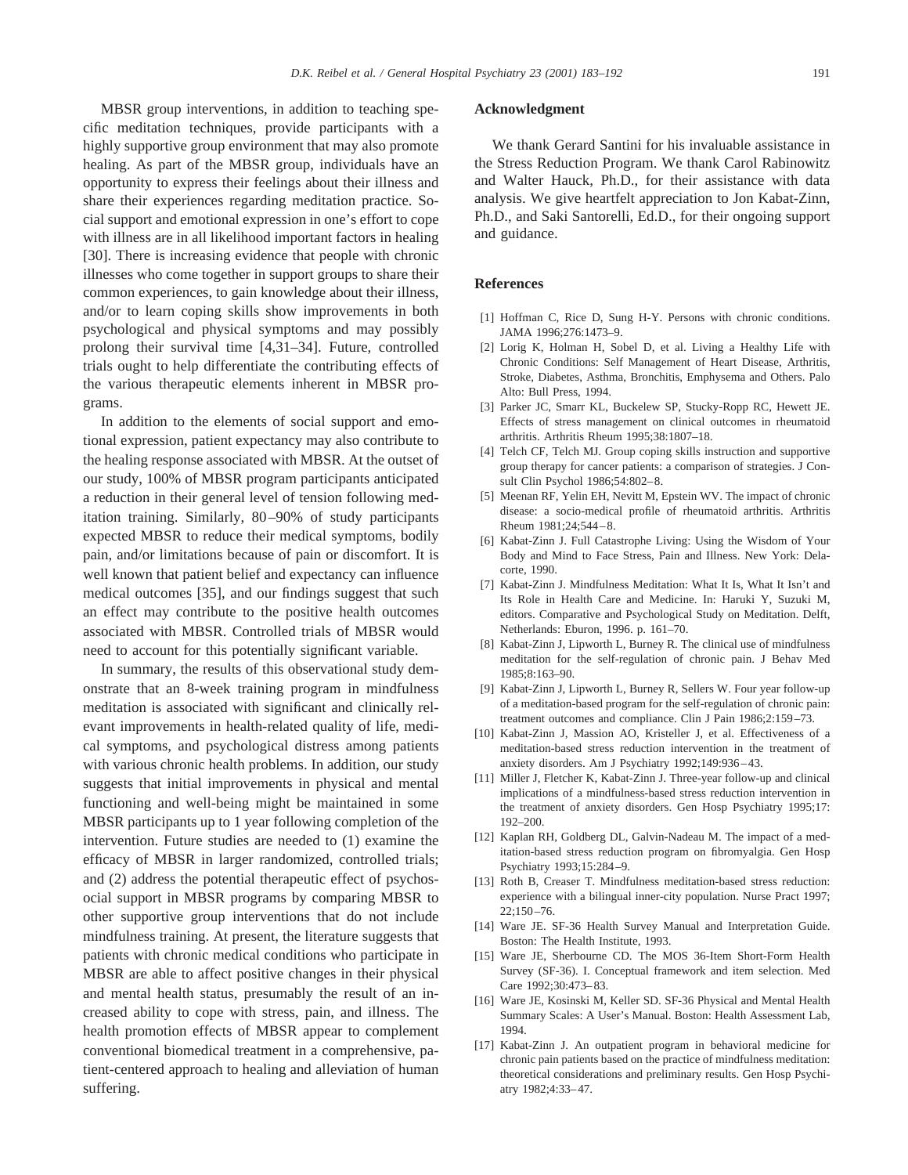MBSR group interventions, in addition to teaching specific meditation techniques, provide participants with a highly supportive group environment that may also promote healing. As part of the MBSR group, individuals have an opportunity to express their feelings about their illness and share their experiences regarding meditation practice. Social support and emotional expression in one's effort to cope with illness are in all likelihood important factors in healing [30]. There is increasing evidence that people with chronic illnesses who come together in support groups to share their common experiences, to gain knowledge about their illness, and/or to learn coping skills show improvements in both psychological and physical symptoms and may possibly prolong their survival time [4,31–34]. Future, controlled trials ought to help differentiate the contributing effects of the various therapeutic elements inherent in MBSR programs.

In addition to the elements of social support and emotional expression, patient expectancy may also contribute to the healing response associated with MBSR. At the outset of our study, 100% of MBSR program participants anticipated a reduction in their general level of tension following meditation training. Similarly, 80–90% of study participants expected MBSR to reduce their medical symptoms, bodily pain, and/or limitations because of pain or discomfort. It is well known that patient belief and expectancy can influence medical outcomes [35], and our findings suggest that such an effect may contribute to the positive health outcomes associated with MBSR. Controlled trials of MBSR would need to account for this potentially significant variable.

In summary, the results of this observational study demonstrate that an 8-week training program in mindfulness meditation is associated with significant and clinically relevant improvements in health-related quality of life, medical symptoms, and psychological distress among patients with various chronic health problems. In addition, our study suggests that initial improvements in physical and mental functioning and well-being might be maintained in some MBSR participants up to 1 year following completion of the intervention. Future studies are needed to (1) examine the efficacy of MBSR in larger randomized, controlled trials; and (2) address the potential therapeutic effect of psychosocial support in MBSR programs by comparing MBSR to other supportive group interventions that do not include mindfulness training. At present, the literature suggests that patients with chronic medical conditions who participate in MBSR are able to affect positive changes in their physical and mental health status, presumably the result of an increased ability to cope with stress, pain, and illness. The health promotion effects of MBSR appear to complement conventional biomedical treatment in a comprehensive, patient-centered approach to healing and alleviation of human suffering.

### **Acknowledgment**

We thank Gerard Santini for his invaluable assistance in the Stress Reduction Program. We thank Carol Rabinowitz and Walter Hauck, Ph.D., for their assistance with data analysis. We give heartfelt appreciation to Jon Kabat-Zinn, Ph.D., and Saki Santorelli, Ed.D., for their ongoing support and guidance.

## **References**

- [1] Hoffman C, Rice D, Sung H-Y. Persons with chronic conditions. JAMA 1996;276:1473–9.
- [2] Lorig K, Holman H, Sobel D, et al. Living a Healthy Life with Chronic Conditions: Self Management of Heart Disease, Arthritis, Stroke, Diabetes, Asthma, Bronchitis, Emphysema and Others. Palo Alto: Bull Press, 1994.
- [3] Parker JC, Smarr KL, Buckelew SP, Stucky-Ropp RC, Hewett JE. Effects of stress management on clinical outcomes in rheumatoid arthritis. Arthritis Rheum 1995;38:1807–18.
- [4] Telch CF, Telch MJ. Group coping skills instruction and supportive group therapy for cancer patients: a comparison of strategies. J Consult Clin Psychol 1986;54:802–8.
- [5] Meenan RF, Yelin EH, Nevitt M, Epstein WV. The impact of chronic disease: a socio-medical profile of rheumatoid arthritis. Arthritis Rheum 1981;24;544–8.
- [6] Kabat-Zinn J. Full Catastrophe Living: Using the Wisdom of Your Body and Mind to Face Stress, Pain and Illness. New York: Delacorte, 1990.
- [7] Kabat-Zinn J. Mindfulness Meditation: What It Is, What It Isn't and Its Role in Health Care and Medicine. In: Haruki Y, Suzuki M, editors. Comparative and Psychological Study on Meditation. Delft, Netherlands: Eburon, 1996. p. 161–70.
- [8] Kabat-Zinn J, Lipworth L, Burney R. The clinical use of mindfulness meditation for the self-regulation of chronic pain. J Behav Med 1985;8:163–90.
- [9] Kabat-Zinn J, Lipworth L, Burney R, Sellers W. Four year follow-up of a meditation-based program for the self-regulation of chronic pain: treatment outcomes and compliance. Clin J Pain 1986;2:159–73.
- [10] Kabat-Zinn J, Massion AO, Kristeller J, et al. Effectiveness of a meditation-based stress reduction intervention in the treatment of anxiety disorders. Am J Psychiatry 1992;149:936–43.
- [11] Miller J, Fletcher K, Kabat-Zinn J. Three-year follow-up and clinical implications of a mindfulness-based stress reduction intervention in the treatment of anxiety disorders. Gen Hosp Psychiatry 1995;17: 192–200.
- [12] Kaplan RH, Goldberg DL, Galvin-Nadeau M. The impact of a meditation-based stress reduction program on fibromyalgia. Gen Hosp Psychiatry 1993;15:284–9.
- [13] Roth B, Creaser T. Mindfulness meditation-based stress reduction: experience with a bilingual inner-city population. Nurse Pract 1997; 22;150–76.
- [14] Ware JE. SF-36 Health Survey Manual and Interpretation Guide. Boston: The Health Institute, 1993.
- [15] Ware JE, Sherbourne CD. The MOS 36-Item Short-Form Health Survey (SF-36). I. Conceptual framework and item selection. Med Care 1992;30:473–83.
- [16] Ware JE, Kosinski M, Keller SD. SF-36 Physical and Mental Health Summary Scales: A User's Manual. Boston: Health Assessment Lab, 1994.
- [17] Kabat-Zinn J. An outpatient program in behavioral medicine for chronic pain patients based on the practice of mindfulness meditation: theoretical considerations and preliminary results. Gen Hosp Psychiatry 1982;4:33–47.